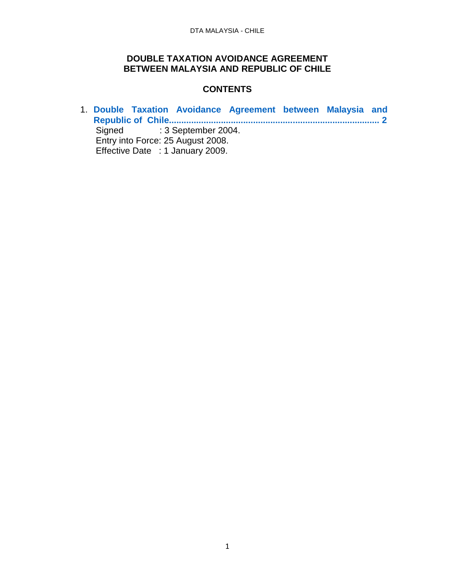#### **DOUBLE TAXATION AVOIDANCE AGREEMENT BETWEEN MALAYSIA AND REPUBLIC OF CHILE**

#### **CONTENTS**

1. **[Double Taxation Avoidance Agreement between Malaysia and](#page-1-0)  [Republic of Chile.....................................................................................](#page-1-0) 2** Signed : 3 September 2004. Entry into Force: 25 August 2008. Effective Date : 1 January 2009.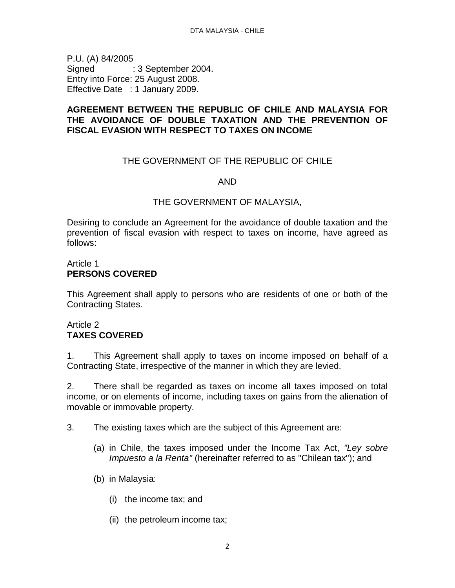<span id="page-1-0"></span>P.U. (A) 84/2005 Signed : 3 September 2004. Entry into Force: 25 August 2008. Effective Date : 1 January 2009.

# **AGREEMENT BETWEEN THE REPUBLIC OF CHILE AND MALAYSIA FOR THE AVOIDANCE OF DOUBLE TAXATION AND THE PREVENTION OF FISCAL EVASION WITH RESPECT TO TAXES ON INCOME**

# THE GOVERNMENT OF THE REPUBLIC OF CHILE

#### AND

#### THE GOVERNMENT OF MALAYSIA,

Desiring to conclude an Agreement for the avoidance of double taxation and the prevention of fiscal evasion with respect to taxes on income, have agreed as follows:

#### Article 1 **PERSONS COVERED**

This Agreement shall apply to persons who are residents of one or both of the Contracting States.

## Article 2 **TAXES COVERED**

1. This Agreement shall apply to taxes on income imposed on behalf of a Contracting State, irrespective of the manner in which they are levied.

2. There shall be regarded as taxes on income all taxes imposed on total income, or on elements of income, including taxes on gains from the alienation of movable or immovable property.

- 3. The existing taxes which are the subject of this Agreement are:
	- (a) in Chile, the taxes imposed under the Income Tax Act, *"Ley sobre Impuesto a la Renta"* (hereinafter referred to as "Chilean tax"); and
	- (b) in Malaysia:
		- (i) the income tax; and
		- (ii) the petroleum income tax;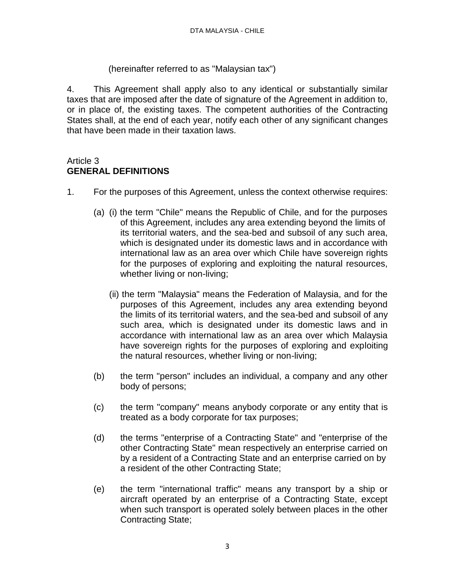# (hereinafter referred to as "Malaysian tax")

4. This Agreement shall apply also to any identical or substantially similar taxes that are imposed after the date of signature of the Agreement in addition to, or in place of, the existing taxes. The competent authorities of the Contracting States shall, at the end of each year, notify each other of any significant changes that have been made in their taxation laws.

#### Article 3 **GENERAL DEFINITIONS**

- 1. For the purposes of this Agreement, unless the context otherwise requires:
	- (a) (i) the term "Chile" means the Republic of Chile, and for the purposes of this Agreement, includes any area extending beyond the limits of its territorial waters, and the sea-bed and subsoil of any such area, which is designated under its domestic laws and in accordance with international law as an area over which Chile have sovereign rights for the purposes of exploring and exploiting the natural resources, whether living or non-living;
		- (ii) the term "Malaysia" means the Federation of Malaysia, and for the purposes of this Agreement, includes any area extending beyond the limits of its territorial waters, and the sea-bed and subsoil of any such area, which is designated under its domestic laws and in accordance with international law as an area over which Malaysia have sovereign rights for the purposes of exploring and exploiting the natural resources, whether living or non-living;
	- (b) the term "person" includes an individual, a company and any other body of persons;
	- (c) the term "company" means anybody corporate or any entity that is treated as a body corporate for tax purposes;
	- (d) the terms "enterprise of a Contracting State" and "enterprise of the other Contracting State" mean respectively an enterprise carried on by a resident of a Contracting State and an enterprise carried on by a resident of the other Contracting State;
	- (e) the term "international traffic" means any transport by a ship or aircraft operated by an enterprise of a Contracting State, except when such transport is operated solely between places in the other Contracting State;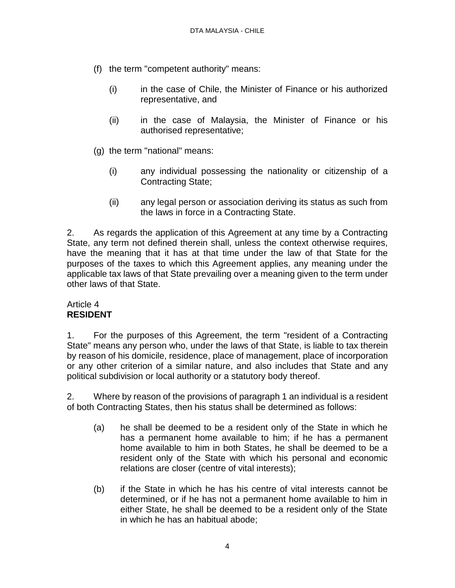- (f) the term "competent authority" means:
	- (i) in the case of Chile, the Minister of Finance or his authorized representative, and
	- (ii) in the case of Malaysia, the Minister of Finance or his authorised representative;
- (g) the term "national" means:
	- (i) any individual possessing the nationality or citizenship of a Contracting State;
	- (ii) any legal person or association deriving its status as such from the laws in force in a Contracting State.

2. As regards the application of this Agreement at any time by a Contracting State, any term not defined therein shall, unless the context otherwise requires, have the meaning that it has at that time under the law of that State for the purposes of the taxes to which this Agreement applies, any meaning under the applicable tax laws of that State prevailing over a meaning given to the term under other laws of that State.

## Article 4 **RESIDENT**

1. For the purposes of this Agreement, the term "resident of a Contracting State" means any person who, under the laws of that State, is liable to tax therein by reason of his domicile, residence, place of management, place of incorporation or any other criterion of a similar nature, and also includes that State and any political subdivision or local authority or a statutory body thereof.

2. Where by reason of the provisions of paragraph 1 an individual is a resident of both Contracting States, then his status shall be determined as follows:

- (a) he shall be deemed to be a resident only of the State in which he has a permanent home available to him; if he has a permanent home available to him in both States, he shall be deemed to be a resident only of the State with which his personal and economic relations are closer (centre of vital interests);
- (b) if the State in which he has his centre of vital interests cannot be determined, or if he has not a permanent home available to him in either State, he shall be deemed to be a resident only of the State in which he has an habitual abode;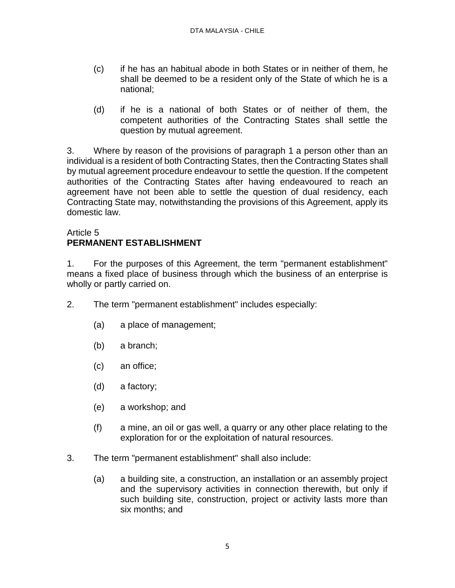- (c) if he has an habitual abode in both States or in neither of them, he shall be deemed to be a resident only of the State of which he is a national;
- (d) if he is a national of both States or of neither of them, the competent authorities of the Contracting States shall settle the question by mutual agreement.

3. Where by reason of the provisions of paragraph 1 a person other than an individual is a resident of both Contracting States, then the Contracting States shall by mutual agreement procedure endeavour to settle the question. If the competent authorities of the Contracting States after having endeavoured to reach an agreement have not been able to settle the question of dual residency, each Contracting State may, notwithstanding the provisions of this Agreement, apply its domestic law.

# Article 5

# **PERMANENT ESTABLISHMENT**

1. For the purposes of this Agreement, the term "permanent establishment" means a fixed place of business through which the business of an enterprise is wholly or partly carried on.

- 2. The term "permanent establishment" includes especially:
	- (a) a place of management;
	- (b) a branch;
	- (c) an office;
	- (d) a factory;
	- (e) a workshop; and
	- (f) a mine, an oil or gas well, a quarry or any other place relating to the exploration for or the exploitation of natural resources.
- 3. The term "permanent establishment" shall also include:
	- (a) a building site, a construction, an installation or an assembly project and the supervisory activities in connection therewith, but only if such building site, construction, project or activity lasts more than six months; and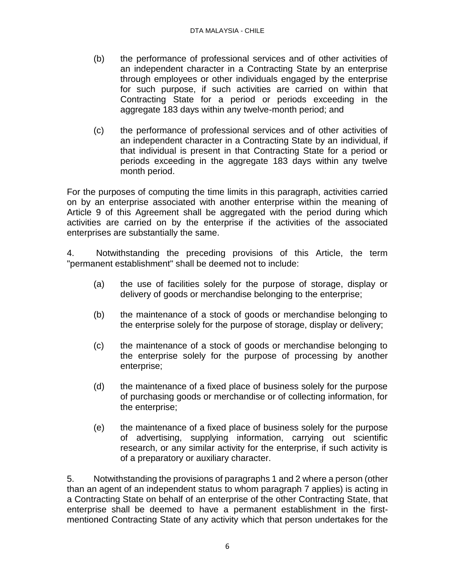- (b) the performance of professional services and of other activities of an independent character in a Contracting State by an enterprise through employees or other individuals engaged by the enterprise for such purpose, if such activities are carried on within that Contracting State for a period or periods exceeding in the aggregate 183 days within any twelve-month period; and
- (c) the performance of professional services and of other activities of an independent character in a Contracting State by an individual, if that individual is present in that Contracting State for a period or periods exceeding in the aggregate 183 days within any twelve month period.

For the purposes of computing the time limits in this paragraph, activities carried on by an enterprise associated with another enterprise within the meaning of Article 9 of this Agreement shall be aggregated with the period during which activities are carried on by the enterprise if the activities of the associated enterprises are substantially the same.

4. Notwithstanding the preceding provisions of this Article, the term "permanent establishment" shall be deemed not to include:

- (a) the use of facilities solely for the purpose of storage, display or delivery of goods or merchandise belonging to the enterprise;
- (b) the maintenance of a stock of goods or merchandise belonging to the enterprise solely for the purpose of storage, display or delivery;
- (c) the maintenance of a stock of goods or merchandise belonging to the enterprise solely for the purpose of processing by another enterprise;
- (d) the maintenance of a fixed place of business solely for the purpose of purchasing goods or merchandise or of collecting information, for the enterprise;
- (e) the maintenance of a fixed place of business solely for the purpose of advertising, supplying information, carrying out scientific research, or any similar activity for the enterprise, if such activity is of a preparatory or auxiliary character.

5. Notwithstanding the provisions of paragraphs 1 and 2 where a person (other than an agent of an independent status to whom paragraph 7 applies) is acting in a Contracting State on behalf of an enterprise of the other Contracting State, that enterprise shall be deemed to have a permanent establishment in the firstmentioned Contracting State of any activity which that person undertakes for the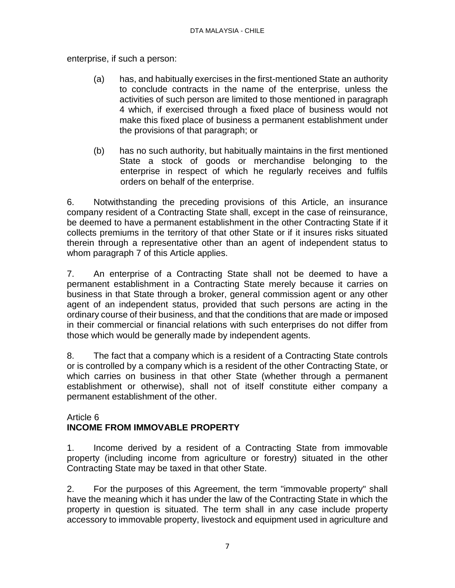enterprise, if such a person:

- (a) has, and habitually exercises in the first-mentioned State an authority to conclude contracts in the name of the enterprise, unless the activities of such person are limited to those mentioned in paragraph 4 which, if exercised through a fixed place of business would not make this fixed place of business a permanent establishment under the provisions of that paragraph; or
- (b) has no such authority, but habitually maintains in the first mentioned State a stock of goods or merchandise belonging to the enterprise in respect of which he regularly receives and fulfils orders on behalf of the enterprise.

6. Notwithstanding the preceding provisions of this Article, an insurance company resident of a Contracting State shall, except in the case of reinsurance, be deemed to have a permanent establishment in the other Contracting State if it collects premiums in the territory of that other State or if it insures risks situated therein through a representative other than an agent of independent status to whom paragraph 7 of this Article applies.

7. An enterprise of a Contracting State shall not be deemed to have a permanent establishment in a Contracting State merely because it carries on business in that State through a broker, general commission agent or any other agent of an independent status, provided that such persons are acting in the ordinary course of their business, and that the conditions that are made or imposed in their commercial or financial relations with such enterprises do not differ from those which would be generally made by independent agents.

8. The fact that a company which is a resident of a Contracting State controls or is controlled by a company which is a resident of the other Contracting State, or which carries on business in that other State (whether through a permanent establishment or otherwise), shall not of itself constitute either company a permanent establishment of the other.

#### Article 6 **INCOME FROM IMMOVABLE PROPERTY**

1. Income derived by a resident of a Contracting State from immovable property (including income from agriculture or forestry) situated in the other Contracting State may be taxed in that other State.

2. For the purposes of this Agreement, the term "immovable property" shall have the meaning which it has under the law of the Contracting State in which the property in question is situated. The term shall in any case include property accessory to immovable property, livestock and equipment used in agriculture and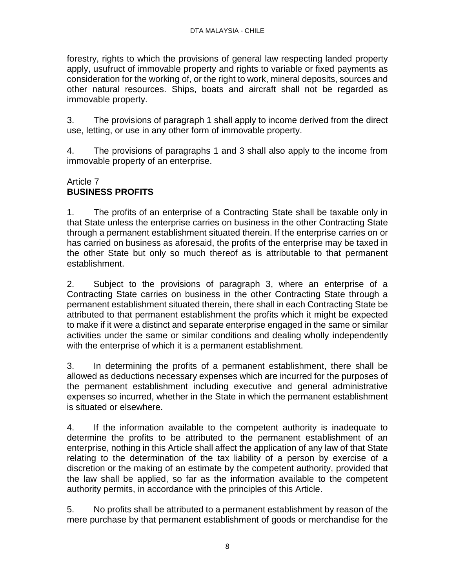forestry, rights to which the provisions of general law respecting landed property apply, usufruct of immovable property and rights to variable or fixed payments as consideration for the working of, or the right to work, mineral deposits, sources and other natural resources. Ships, boats and aircraft shall not be regarded as immovable property.

3. The provisions of paragraph 1 shall apply to income derived from the direct use, letting, or use in any other form of immovable property.

4. The provisions of paragraphs 1 and 3 shall also apply to the income from immovable property of an enterprise.

# Article 7 **BUSINESS PROFITS**

1. The profits of an enterprise of a Contracting State shall be taxable only in that State unless the enterprise carries on business in the other Contracting State through a permanent establishment situated therein. If the enterprise carries on or has carried on business as aforesaid, the profits of the enterprise may be taxed in the other State but only so much thereof as is attributable to that permanent establishment.

2. Subject to the provisions of paragraph 3, where an enterprise of a Contracting State carries on business in the other Contracting State through a permanent establishment situated therein, there shall in each Contracting State be attributed to that permanent establishment the profits which it might be expected to make if it were a distinct and separate enterprise engaged in the same or similar activities under the same or similar conditions and dealing wholly independently with the enterprise of which it is a permanent establishment.

3. In determining the profits of a permanent establishment, there shall be allowed as deductions necessary expenses which are incurred for the purposes of the permanent establishment including executive and general administrative expenses so incurred, whether in the State in which the permanent establishment is situated or elsewhere.

4. If the information available to the competent authority is inadequate to determine the profits to be attributed to the permanent establishment of an enterprise, nothing in this Article shall affect the application of any law of that State relating to the determination of the tax liability of a person by exercise of a discretion or the making of an estimate by the competent authority, provided that the law shall be applied, so far as the information available to the competent authority permits, in accordance with the principles of this Article.

5. No profits shall be attributed to a permanent establishment by reason of the mere purchase by that permanent establishment of goods or merchandise for the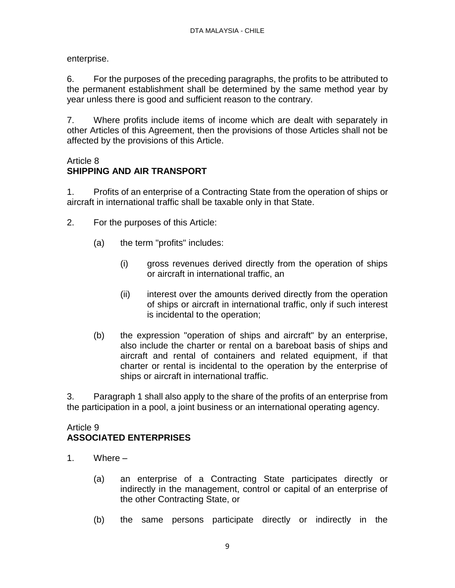enterprise.

6. For the purposes of the preceding paragraphs, the profits to be attributed to the permanent establishment shall be determined by the same method year by year unless there is good and sufficient reason to the contrary.

7. Where profits include items of income which are dealt with separately in other Articles of this Agreement, then the provisions of those Articles shall not be affected by the provisions of this Article.

# Article 8

# **SHIPPING AND AIR TRANSPORT**

1. Profits of an enterprise of a Contracting State from the operation of ships or aircraft in international traffic shall be taxable only in that State.

- 2. For the purposes of this Article:
	- (a) the term "profits" includes:
		- (i) gross revenues derived directly from the operation of ships or aircraft in international traffic, an
		- (ii) interest over the amounts derived directly from the operation of ships or aircraft in international traffic, only if such interest is incidental to the operation;
	- (b) the expression "operation of ships and aircraft" by an enterprise, also include the charter or rental on a bareboat basis of ships and aircraft and rental of containers and related equipment, if that charter or rental is incidental to the operation by the enterprise of ships or aircraft in international traffic.

3. Paragraph 1 shall also apply to the share of the profits of an enterprise from the participation in a pool, a joint business or an international operating agency.

# Article 9 **ASSOCIATED ENTERPRISES**

- 1. Where
	- (a) an enterprise of a Contracting State participates directly or indirectly in the management, control or capital of an enterprise of the other Contracting State, or
	- (b) the same persons participate directly or indirectly in the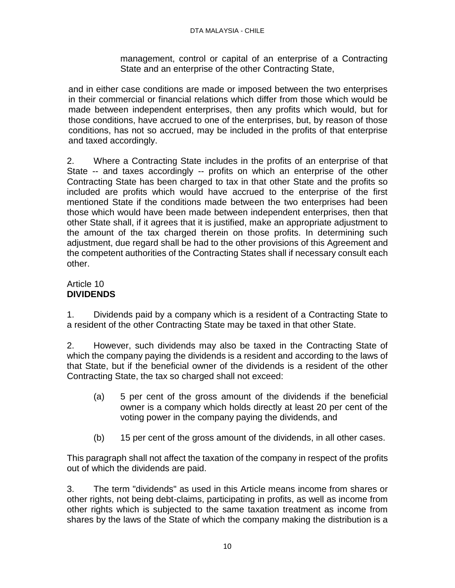management, control or capital of an enterprise of a Contracting State and an enterprise of the other Contracting State,

and in either case conditions are made or imposed between the two enterprises in their commercial or financial relations which differ from those which would be made between independent enterprises, then any profits which would, but for those conditions, have accrued to one of the enterprises, but, by reason of those conditions, has not so accrued, may be included in the profits of that enterprise and taxed accordingly.

2. Where a Contracting State includes in the profits of an enterprise of that State -- and taxes accordingly -- profits on which an enterprise of the other Contracting State has been charged to tax in that other State and the profits so included are profits which would have accrued to the enterprise of the first mentioned State if the conditions made between the two enterprises had been those which would have been made between independent enterprises, then that other State shall, if it agrees that it is justified, make an appropriate adjustment to the amount of the tax charged therein on those profits. In determining such adjustment, due regard shall be had to the other provisions of this Agreement and the competent authorities of the Contracting States shall if necessary consult each other.

# Article 10 **DIVIDENDS**

1. Dividends paid by a company which is a resident of a Contracting State to a resident of the other Contracting State may be taxed in that other State.

2. However, such dividends may also be taxed in the Contracting State of which the company paying the dividends is a resident and according to the laws of that State, but if the beneficial owner of the dividends is a resident of the other Contracting State, the tax so charged shall not exceed:

- (a) 5 per cent of the gross amount of the dividends if the beneficial owner is a company which holds directly at least 20 per cent of the voting power in the company paying the dividends, and
- (b) 15 per cent of the gross amount of the dividends, in all other cases.

This paragraph shall not affect the taxation of the company in respect of the profits out of which the dividends are paid.

3. The term "dividends" as used in this Article means income from shares or other rights, not being debt-claims, participating in profits, as well as income from other rights which is subjected to the same taxation treatment as income from shares by the laws of the State of which the company making the distribution is a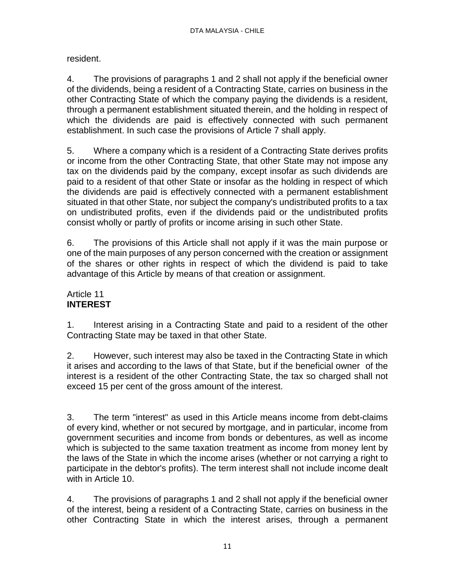resident.

4. The provisions of paragraphs 1 and 2 shall not apply if the beneficial owner of the dividends, being a resident of a Contracting State, carries on business in the other Contracting State of which the company paying the dividends is a resident, through a permanent establishment situated therein, and the holding in respect of which the dividends are paid is effectively connected with such permanent establishment. In such case the provisions of Article 7 shall apply.

5. Where a company which is a resident of a Contracting State derives profits or income from the other Contracting State, that other State may not impose any tax on the dividends paid by the company, except insofar as such dividends are paid to a resident of that other State or insofar as the holding in respect of which the dividends are paid is effectively connected with a permanent establishment situated in that other State, nor subject the company's undistributed profits to a tax on undistributed profits, even if the dividends paid or the undistributed profits consist wholly or partly of profits or income arising in such other State.

6. The provisions of this Article shall not apply if it was the main purpose or one of the main purposes of any person concerned with the creation or assignment of the shares or other rights in respect of which the dividend is paid to take advantage of this Article by means of that creation or assignment.

# Article 11 **INTEREST**

1. Interest arising in a Contracting State and paid to a resident of the other Contracting State may be taxed in that other State.

2. However, such interest may also be taxed in the Contracting State in which it arises and according to the laws of that State, but if the beneficial owner of the interest is a resident of the other Contracting State, the tax so charged shall not exceed 15 per cent of the gross amount of the interest.

3. The term "interest" as used in this Article means income from debt-claims of every kind, whether or not secured by mortgage, and in particular, income from government securities and income from bonds or debentures, as well as income which is subjected to the same taxation treatment as income from money lent by the laws of the State in which the income arises (whether or not carrying a right to participate in the debtor's profits). The term interest shall not include income dealt with in Article 10.

4. The provisions of paragraphs 1 and 2 shall not apply if the beneficial owner of the interest, being a resident of a Contracting State, carries on business in the other Contracting State in which the interest arises, through a permanent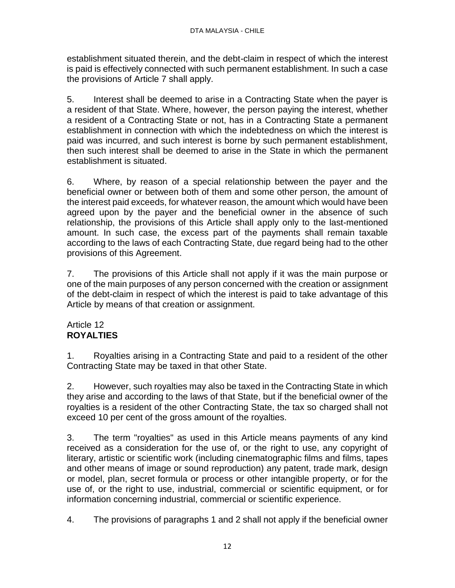establishment situated therein, and the debt-claim in respect of which the interest is paid is effectively connected with such permanent establishment. In such a case the provisions of Article 7 shall apply.

5. Interest shall be deemed to arise in a Contracting State when the payer is a resident of that State. Where, however, the person paying the interest, whether a resident of a Contracting State or not, has in a Contracting State a permanent establishment in connection with which the indebtedness on which the interest is paid was incurred, and such interest is borne by such permanent establishment, then such interest shall be deemed to arise in the State in which the permanent establishment is situated.

6. Where, by reason of a special relationship between the payer and the beneficial owner or between both of them and some other person, the amount of the interest paid exceeds, for whatever reason, the amount which would have been agreed upon by the payer and the beneficial owner in the absence of such relationship, the provisions of this Article shall apply only to the last-mentioned amount. In such case, the excess part of the payments shall remain taxable according to the laws of each Contracting State, due regard being had to the other provisions of this Agreement.

7. The provisions of this Article shall not apply if it was the main purpose or one of the main purposes of any person concerned with the creation or assignment of the debt-claim in respect of which the interest is paid to take advantage of this Article by means of that creation or assignment.

# Article 12 **ROYALTIES**

1. Royalties arising in a Contracting State and paid to a resident of the other Contracting State may be taxed in that other State.

2. However, such royalties may also be taxed in the Contracting State in which they arise and according to the laws of that State, but if the beneficial owner of the royalties is a resident of the other Contracting State, the tax so charged shall not exceed 10 per cent of the gross amount of the royalties.

3. The term "royalties" as used in this Article means payments of any kind received as a consideration for the use of, or the right to use, any copyright of literary, artistic or scientific work (including cinematographic films and films, tapes and other means of image or sound reproduction) any patent, trade mark, design or model, plan, secret formula or process or other intangible property, or for the use of, or the right to use, industrial, commercial or scientific equipment, or for information concerning industrial, commercial or scientific experience.

4. The provisions of paragraphs 1 and 2 shall not apply if the beneficial owner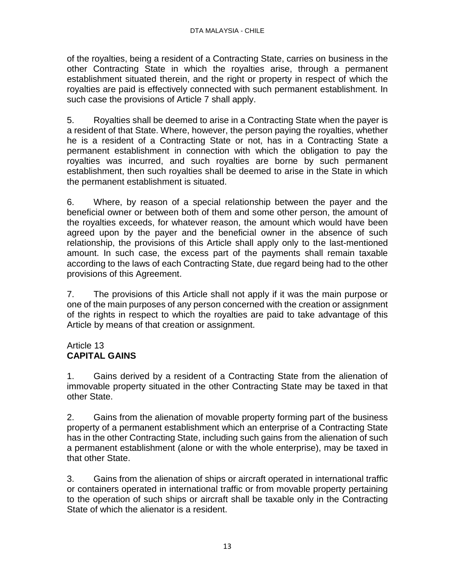of the royalties, being a resident of a Contracting State, carries on business in the other Contracting State in which the royalties arise, through a permanent establishment situated therein, and the right or property in respect of which the royalties are paid is effectively connected with such permanent establishment. In such case the provisions of Article 7 shall apply.

5. Royalties shall be deemed to arise in a Contracting State when the payer is a resident of that State. Where, however, the person paying the royalties, whether he is a resident of a Contracting State or not, has in a Contracting State a permanent establishment in connection with which the obligation to pay the royalties was incurred, and such royalties are borne by such permanent establishment, then such royalties shall be deemed to arise in the State in which the permanent establishment is situated.

6. Where, by reason of a special relationship between the payer and the beneficial owner or between both of them and some other person, the amount of the royalties exceeds, for whatever reason, the amount which would have been agreed upon by the payer and the beneficial owner in the absence of such relationship, the provisions of this Article shall apply only to the last-mentioned amount. In such case, the excess part of the payments shall remain taxable according to the laws of each Contracting State, due regard being had to the other provisions of this Agreement.

7. The provisions of this Article shall not apply if it was the main purpose or one of the main purposes of any person concerned with the creation or assignment of the rights in respect to which the royalties are paid to take advantage of this Article by means of that creation or assignment.

# Article 13 **CAPITAL GAINS**

1. Gains derived by a resident of a Contracting State from the alienation of immovable property situated in the other Contracting State may be taxed in that other State.

2. Gains from the alienation of movable property forming part of the business property of a permanent establishment which an enterprise of a Contracting State has in the other Contracting State, including such gains from the alienation of such a permanent establishment (alone or with the whole enterprise), may be taxed in that other State.

3. Gains from the alienation of ships or aircraft operated in international traffic or containers operated in international traffic or from movable property pertaining to the operation of such ships or aircraft shall be taxable only in the Contracting State of which the alienator is a resident.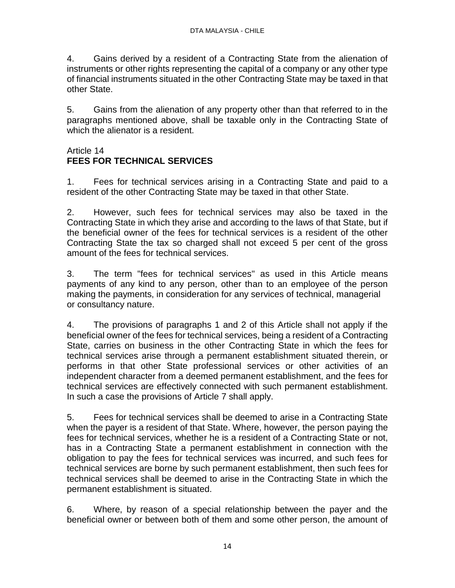4. Gains derived by a resident of a Contracting State from the alienation of instruments or other rights representing the capital of a company or any other type of financial instruments situated in the other Contracting State may be taxed in that other State.

5. Gains from the alienation of any property other than that referred to in the paragraphs mentioned above, shall be taxable only in the Contracting State of which the alienator is a resident.

# Article 14 **FEES FOR TECHNICAL SERVICES**

1. Fees for technical services arising in a Contracting State and paid to a resident of the other Contracting State may be taxed in that other State.

2. However, such fees for technical services may also be taxed in the Contracting State in which they arise and according to the laws of that State, but if the beneficial owner of the fees for technical services is a resident of the other Contracting State the tax so charged shall not exceed 5 per cent of the gross amount of the fees for technical services.

3. The term "fees for technical services" as used in this Article means payments of any kind to any person, other than to an employee of the person making the payments, in consideration for any services of technical, managerial or consultancy nature.

4. The provisions of paragraphs 1 and 2 of this Article shall not apply if the beneficial owner of the fees for technical services, being a resident of a Contracting State, carries on business in the other Contracting State in which the fees for technical services arise through a permanent establishment situated therein, or performs in that other State professional services or other activities of an independent character from a deemed permanent establishment, and the fees for technical services are effectively connected with such permanent establishment. In such a case the provisions of Article 7 shall apply.

5. Fees for technical services shall be deemed to arise in a Contracting State when the payer is a resident of that State. Where, however, the person paying the fees for technical services, whether he is a resident of a Contracting State or not, has in a Contracting State a permanent establishment in connection with the obligation to pay the fees for technical services was incurred, and such fees for technical services are borne by such permanent establishment, then such fees for technical services shall be deemed to arise in the Contracting State in which the permanent establishment is situated.

6. Where, by reason of a special relationship between the payer and the beneficial owner or between both of them and some other person, the amount of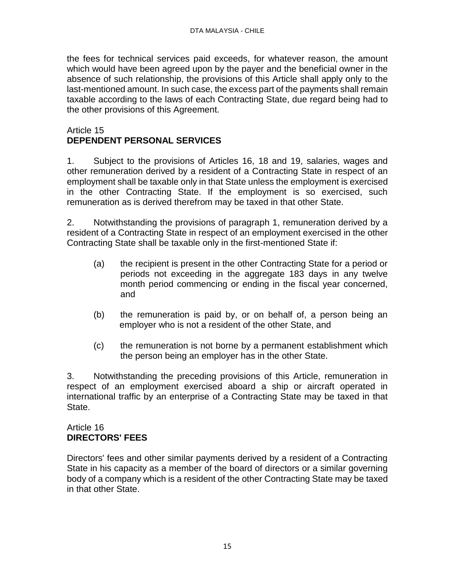the fees for technical services paid exceeds, for whatever reason, the amount which would have been agreed upon by the payer and the beneficial owner in the absence of such relationship, the provisions of this Article shall apply only to the last-mentioned amount. In such case, the excess part of the payments shall remain taxable according to the laws of each Contracting State, due regard being had to the other provisions of this Agreement.

### Article 15 **DEPENDENT PERSONAL SERVICES**

1. Subject to the provisions of Articles 16, 18 and 19, salaries, wages and other remuneration derived by a resident of a Contracting State in respect of an employment shall be taxable only in that State unless the employment is exercised in the other Contracting State. If the employment is so exercised, such remuneration as is derived therefrom may be taxed in that other State.

2. Notwithstanding the provisions of paragraph 1, remuneration derived by a resident of a Contracting State in respect of an employment exercised in the other Contracting State shall be taxable only in the first-mentioned State if:

- (a) the recipient is present in the other Contracting State for a period or periods not exceeding in the aggregate 183 days in any twelve month period commencing or ending in the fiscal year concerned, and
- (b) the remuneration is paid by, or on behalf of, a person being an employer who is not a resident of the other State, and
- (c) the remuneration is not borne by a permanent establishment which the person being an employer has in the other State.

3. Notwithstanding the preceding provisions of this Article, remuneration in respect of an employment exercised aboard a ship or aircraft operated in international traffic by an enterprise of a Contracting State may be taxed in that State.

## Article 16 **DIRECTORS' FEES**

Directors' fees and other similar payments derived by a resident of a Contracting State in his capacity as a member of the board of directors or a similar governing body of a company which is a resident of the other Contracting State may be taxed in that other State.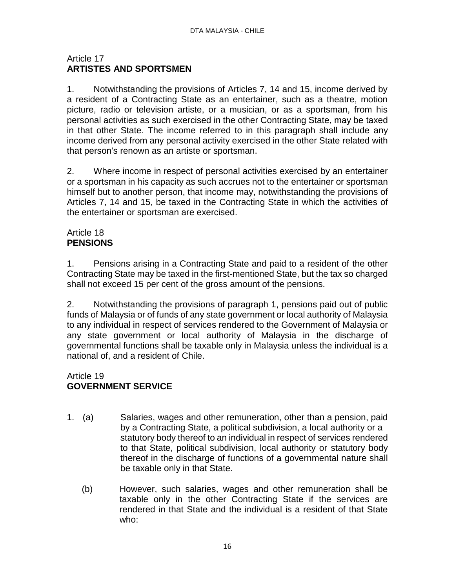# Article 17 **ARTISTES AND SPORTSMEN**

1. Notwithstanding the provisions of Articles 7, 14 and 15, income derived by a resident of a Contracting State as an entertainer, such as a theatre, motion picture, radio or television artiste, or a musician, or as a sportsman, from his personal activities as such exercised in the other Contracting State, may be taxed in that other State. The income referred to in this paragraph shall include any income derived from any personal activity exercised in the other State related with that person's renown as an artiste or sportsman.

2. Where income in respect of personal activities exercised by an entertainer or a sportsman in his capacity as such accrues not to the entertainer or sportsman himself but to another person, that income may, notwithstanding the provisions of Articles 7, 14 and 15, be taxed in the Contracting State in which the activities of the entertainer or sportsman are exercised.

# Article 18 **PENSIONS**

1. Pensions arising in a Contracting State and paid to a resident of the other Contracting State may be taxed in the first-mentioned State, but the tax so charged shall not exceed 15 per cent of the gross amount of the pensions.

2. Notwithstanding the provisions of paragraph 1, pensions paid out of public funds of Malaysia or of funds of any state government or local authority of Malaysia to any individual in respect of services rendered to the Government of Malaysia or any state government or local authority of Malaysia in the discharge of governmental functions shall be taxable only in Malaysia unless the individual is a national of, and a resident of Chile.

## Article 19 **GOVERNMENT SERVICE**

- 1. (a) Salaries, wages and other remuneration, other than a pension, paid by a Contracting State, a political subdivision, a local authority or a statutory body thereof to an individual in respect of services rendered to that State, political subdivision, local authority or statutory body thereof in the discharge of functions of a governmental nature shall be taxable only in that State.
	- (b) However, such salaries, wages and other remuneration shall be taxable only in the other Contracting State if the services are rendered in that State and the individual is a resident of that State who: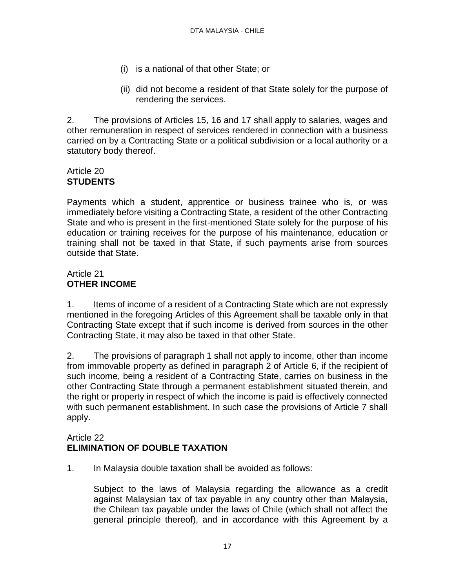- (i) is a national of that other State; or
- (ii) did not become a resident of that State solely for the purpose of rendering the services.

2. The provisions of Articles 15, 16 and 17 shall apply to salaries, wages and other remuneration in respect of services rendered in connection with a business carried on by a Contracting State or a political subdivision or a local authority or a statutory body thereof.

# Article 20 **STUDENTS**

Payments which a student, apprentice or business trainee who is, or was immediately before visiting a Contracting State, a resident of the other Contracting State and who is present in the first-mentioned State solely for the purpose of his education or training receives for the purpose of his maintenance, education or training shall not be taxed in that State, if such payments arise from sources outside that State.

# Article 21 **OTHER INCOME**

1. Items of income of a resident of a Contracting State which are not expressly mentioned in the foregoing Articles of this Agreement shall be taxable only in that Contracting State except that if such income is derived from sources in the other Contracting State, it may also be taxed in that other State.

2. The provisions of paragraph 1 shall not apply to income, other than income from immovable property as defined in paragraph 2 of Article 6, if the recipient of such income, being a resident of a Contracting State, carries on business in the other Contracting State through a permanent establishment situated therein, and the right or property in respect of which the income is paid is effectively connected with such permanent establishment. In such case the provisions of Article 7 shall apply.

## Article 22 **ELIMINATION OF DOUBLE TAXATION**

1. In Malaysia double taxation shall be avoided as follows:

Subject to the laws of Malaysia regarding the allowance as a credit against Malaysian tax of tax payable in any country other than Malaysia, the Chilean tax payable under the laws of Chile (which shall not affect the general principle thereof), and in accordance with this Agreement by a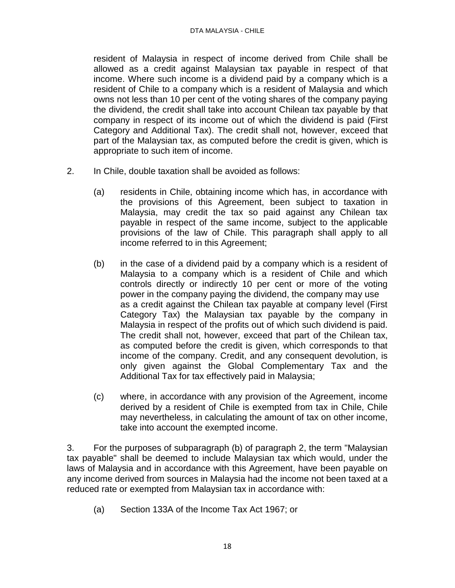#### DTA MALAYSIA - CHILE

resident of Malaysia in respect of income derived from Chile shall be allowed as a credit against Malaysian tax payable in respect of that income. Where such income is a dividend paid by a company which is a resident of Chile to a company which is a resident of Malaysia and which owns not less than 10 per cent of the voting shares of the company paying the dividend, the credit shall take into account Chilean tax payable by that company in respect of its income out of which the dividend is paid (First Category and Additional Tax). The credit shall not, however, exceed that part of the Malaysian tax, as computed before the credit is given, which is appropriate to such item of income.

- 2. In Chile, double taxation shall be avoided as follows:
	- (a) residents in Chile, obtaining income which has, in accordance with the provisions of this Agreement, been subject to taxation in Malaysia, may credit the tax so paid against any Chilean tax payable in respect of the same income, subject to the applicable provisions of the law of Chile. This paragraph shall apply to all income referred to in this Agreement;
	- (b) in the case of a dividend paid by a company which is a resident of Malaysia to a company which is a resident of Chile and which controls directly or indirectly 10 per cent or more of the voting power in the company paying the dividend, the company may use as a credit against the Chilean tax payable at company level (First Category Tax) the Malaysian tax payable by the company in Malaysia in respect of the profits out of which such dividend is paid. The credit shall not, however, exceed that part of the Chilean tax, as computed before the credit is given, which corresponds to that income of the company. Credit, and any consequent devolution, is only given against the Global Complementary Tax and the Additional Tax for tax effectively paid in Malaysia;
	- (c) where, in accordance with any provision of the Agreement, income derived by a resident of Chile is exempted from tax in Chile, Chile may nevertheless, in calculating the amount of tax on other income, take into account the exempted income.

3. For the purposes of subparagraph (b) of paragraph 2, the term "Malaysian tax payable" shall be deemed to include Malaysian tax which would, under the laws of Malaysia and in accordance with this Agreement, have been payable on any income derived from sources in Malaysia had the income not been taxed at a reduced rate or exempted from Malaysian tax in accordance with:

(a) Section 133A of the Income Tax Act 1967; or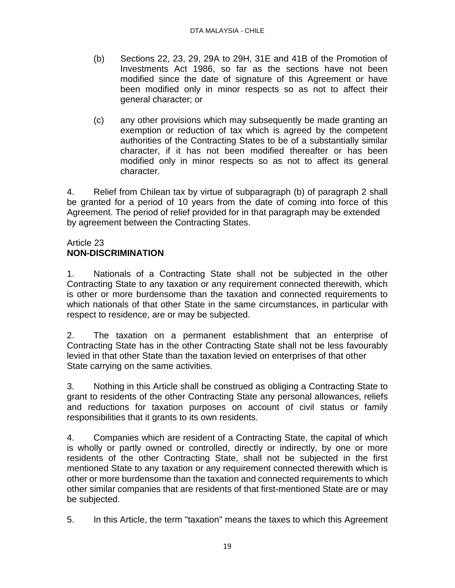- (b) Sections 22, 23, 29, 29A to 29H, 31E and 41B of the Promotion of Investments Act 1986, so far as the sections have not been modified since the date of signature of this Agreement or have been modified only in minor respects so as not to affect their general character; or
- (c) any other provisions which may subsequently be made granting an exemption or reduction of tax which is agreed by the competent authorities of the Contracting States to be of a substantially similar character, if it has not been modified thereafter or has been modified only in minor respects so as not to affect its general character.

4. Relief from Chilean tax by virtue of subparagraph (b) of paragraph 2 shall be granted for a period of 10 years from the date of coming into force of this Agreement. The period of relief provided for in that paragraph may be extended by agreement between the Contracting States.

#### Article 23 **NON-DISCRIMINATION**

1. Nationals of a Contracting State shall not be subjected in the other Contracting State to any taxation or any requirement connected therewith, which is other or more burdensome than the taxation and connected requirements to which nationals of that other State in the same circumstances, in particular with respect to residence, are or may be subjected.

2. The taxation on a permanent establishment that an enterprise of Contracting State has in the other Contracting State shall not be less favourably levied in that other State than the taxation levied on enterprises of that other State carrying on the same activities.

3. Nothing in this Article shall be construed as obliging a Contracting State to grant to residents of the other Contracting State any personal allowances, reliefs and reductions for taxation purposes on account of civil status or family responsibilities that it grants to its own residents.

4. Companies which are resident of a Contracting State, the capital of which is wholly or partly owned or controlled, directly or indirectly, by one or more residents of the other Contracting State, shall not be subjected in the first mentioned State to any taxation or any requirement connected therewith which is other or more burdensome than the taxation and connected requirements to which other similar companies that are residents of that first-mentioned State are or may be subjected.

5. In this Article, the term "taxation" means the taxes to which this Agreement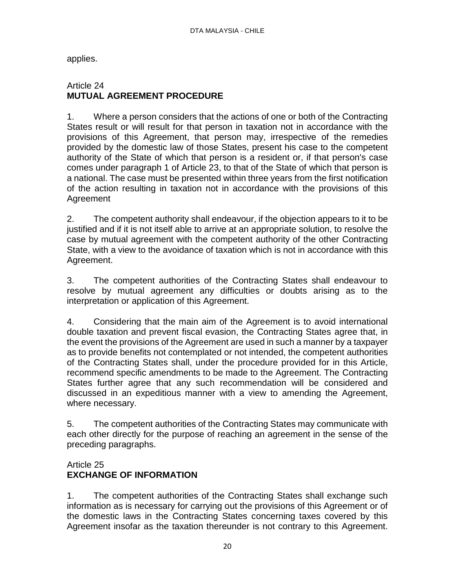applies.

#### Article 24 **MUTUAL AGREEMENT PROCEDURE**

1. Where a person considers that the actions of one or both of the Contracting States result or will result for that person in taxation not in accordance with the provisions of this Agreement, that person may, irrespective of the remedies provided by the domestic law of those States, present his case to the competent authority of the State of which that person is a resident or, if that person's case comes under paragraph 1 of Article 23, to that of the State of which that person is a national. The case must be presented within three years from the first notification of the action resulting in taxation not in accordance with the provisions of this Agreement

2. The competent authority shall endeavour, if the objection appears to it to be justified and if it is not itself able to arrive at an appropriate solution, to resolve the case by mutual agreement with the competent authority of the other Contracting State, with a view to the avoidance of taxation which is not in accordance with this Agreement.

3. The competent authorities of the Contracting States shall endeavour to resolve by mutual agreement any difficulties or doubts arising as to the interpretation or application of this Agreement.

4. Considering that the main aim of the Agreement is to avoid international double taxation and prevent fiscal evasion, the Contracting States agree that, in the event the provisions of the Agreement are used in such a manner by a taxpayer as to provide benefits not contemplated or not intended, the competent authorities of the Contracting States shall, under the procedure provided for in this Article, recommend specific amendments to be made to the Agreement. The Contracting States further agree that any such recommendation will be considered and discussed in an expeditious manner with a view to amending the Agreement, where necessary.

5. The competent authorities of the Contracting States may communicate with each other directly for the purpose of reaching an agreement in the sense of the preceding paragraphs.

#### Article 25 **EXCHANGE OF INFORMATION**

1. The competent authorities of the Contracting States shall exchange such information as is necessary for carrying out the provisions of this Agreement or of the domestic laws in the Contracting States concerning taxes covered by this Agreement insofar as the taxation thereunder is not contrary to this Agreement.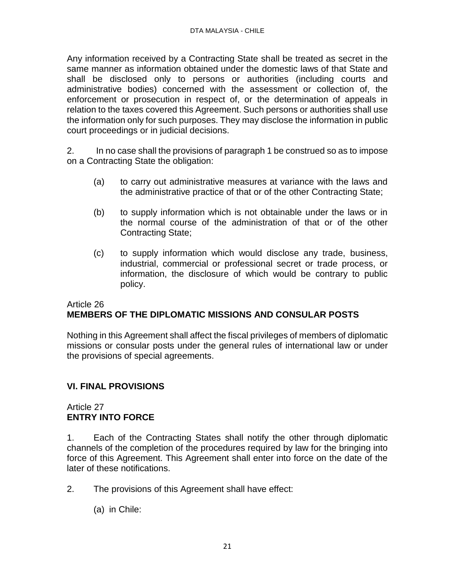Any information received by a Contracting State shall be treated as secret in the same manner as information obtained under the domestic laws of that State and shall be disclosed only to persons or authorities (including courts and administrative bodies) concerned with the assessment or collection of, the enforcement or prosecution in respect of, or the determination of appeals in relation to the taxes covered this Agreement. Such persons or authorities shall use the information only for such purposes. They may disclose the information in public court proceedings or in judicial decisions.

2. In no case shall the provisions of paragraph 1 be construed so as to impose on a Contracting State the obligation:

- (a) to carry out administrative measures at variance with the laws and the administrative practice of that or of the other Contracting State;
- (b) to supply information which is not obtainable under the laws or in the normal course of the administration of that or of the other Contracting State;
- (c) to supply information which would disclose any trade, business, industrial, commercial or professional secret or trade process, or information, the disclosure of which would be contrary to public policy.

# Article 26 **MEMBERS OF THE DIPLOMATIC MISSIONS AND CONSULAR POSTS**

Nothing in this Agreement shall affect the fiscal privileges of members of diplomatic missions or consular posts under the general rules of international law or under the provisions of special agreements.

# **VI. FINAL PROVISIONS**

# Article 27 **ENTRY INTO FORCE**

1. Each of the Contracting States shall notify the other through diplomatic channels of the completion of the procedures required by law for the bringing into force of this Agreement. This Agreement shall enter into force on the date of the later of these notifications.

- 2. The provisions of this Agreement shall have effect:
	- (a) in Chile: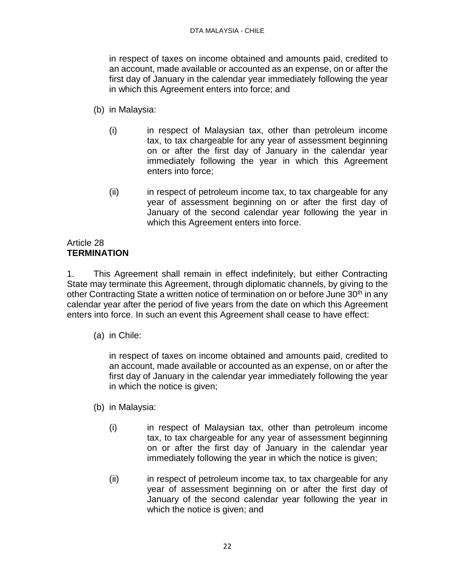in respect of taxes on income obtained and amounts paid, credited to an account, made available or accounted as an expense, on or after the first day of January in the calendar year immediately following the year in which this Agreement enters into force; and

- (b) in Malaysia:
	- (i) in respect of Malaysian tax, other than petroleum income tax, to tax chargeable for any year of assessment beginning on or after the first day of January in the calendar year immediately following the year in which this Agreement enters into force;
	- (ii) in respect of petroleum income tax, to tax chargeable for any year of assessment beginning on or after the first day of January of the second calendar year following the year in which this Agreement enters into force.

# Article 28 **TERMINATION**

1. This Agreement shall remain in effect indefinitely, but either Contracting State may terminate this Agreement, through diplomatic channels, by giving to the other Contracting State a written notice of termination on or before June 30<sup>th</sup> in any calendar year after the period of five years from the date on which this Agreement enters into force. In such an event this Agreement shall cease to have effect:

(a) in Chile:

in respect of taxes on income obtained and amounts paid, credited to an account, made available or accounted as an expense, on or after the first day of January in the calendar year immediately following the year in which the notice is given;

- (b) in Malaysia:
	- (i) in respect of Malaysian tax, other than petroleum income tax, to tax chargeable for any year of assessment beginning on or after the first day of January in the calendar year immediately following the year in which the notice is given;
	- (ii) in respect of petroleum income tax, to tax chargeable for any year of assessment beginning on or after the first day of January of the second calendar year following the year in which the notice is given; and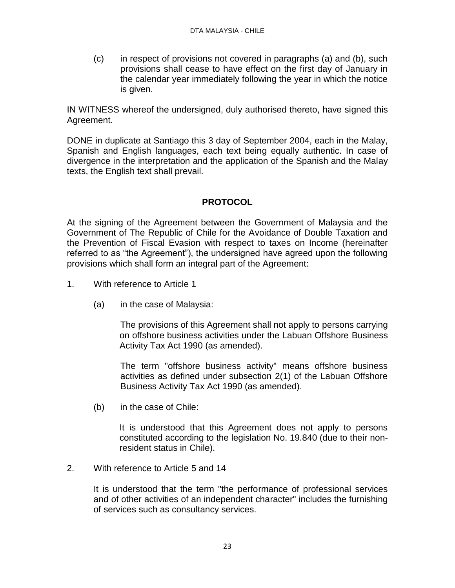(c) in respect of provisions not covered in paragraphs (a) and (b), such provisions shall cease to have effect on the first day of January in the calendar year immediately following the year in which the notice is given.

IN WITNESS whereof the undersigned, duly authorised thereto, have signed this Agreement.

DONE in duplicate at Santiago this 3 day of September 2004, each in the Malay, Spanish and English languages, each text being equally authentic. In case of divergence in the interpretation and the application of the Spanish and the Malay texts, the English text shall prevail.

# **PROTOCOL**

At the signing of the Agreement between the Government of Malaysia and the Government of The Republic of Chile for the Avoidance of Double Taxation and the Prevention of Fiscal Evasion with respect to taxes on Income (hereinafter referred to as "the Agreement"), the undersigned have agreed upon the following provisions which shall form an integral part of the Agreement:

- 1. With reference to Article 1
	- (a) in the case of Malaysia:

The provisions of this Agreement shall not apply to persons carrying on offshore business activities under the Labuan Offshore Business Activity Tax Act 1990 (as amended).

The term "offshore business activity" means offshore business activities as defined under subsection 2(1) of the Labuan Offshore Business Activity Tax Act 1990 (as amended).

(b) in the case of Chile:

It is understood that this Agreement does not apply to persons constituted according to the legislation No. 19.840 (due to their nonresident status in Chile).

2. With reference to Article 5 and 14

It is understood that the term "the performance of professional services and of other activities of an independent character" includes the furnishing of services such as consultancy services.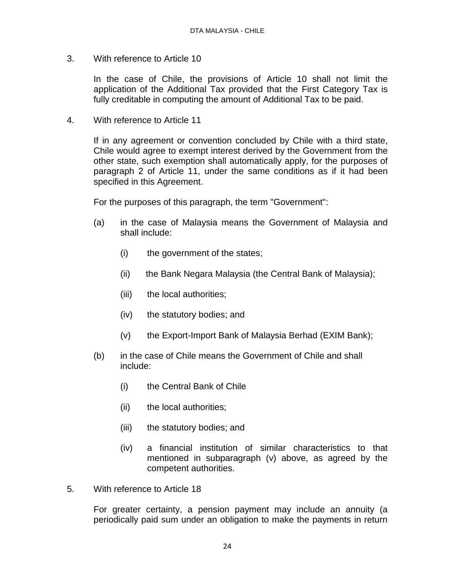3. With reference to Article 10

In the case of Chile, the provisions of Article 10 shall not limit the application of the Additional Tax provided that the First Category Tax is fully creditable in computing the amount of Additional Tax to be paid.

4. With reference to Article 11

If in any agreement or convention concluded by Chile with a third state, Chile would agree to exempt interest derived by the Government from the other state, such exemption shall automatically apply, for the purposes of paragraph 2 of Article 11, under the same conditions as if it had been specified in this Agreement.

For the purposes of this paragraph, the term "Government":

- (a) in the case of Malaysia means the Government of Malaysia and shall include:
	- (i) the government of the states;
	- (ii) the Bank Negara Malaysia (the Central Bank of Malaysia);
	- (iii) the local authorities;
	- (iv) the statutory bodies; and
	- (v) the Export-Import Bank of Malaysia Berhad (EXIM Bank);
- (b) in the case of Chile means the Government of Chile and shall include:
	- (i) the Central Bank of Chile
	- (ii) the local authorities;
	- (iii) the statutory bodies; and
	- (iv) a financial institution of similar characteristics to that mentioned in subparagraph (v) above, as agreed by the competent authorities.
- 5. With reference to Article 18

For greater certainty, a pension payment may include an annuity (a periodically paid sum under an obligation to make the payments in return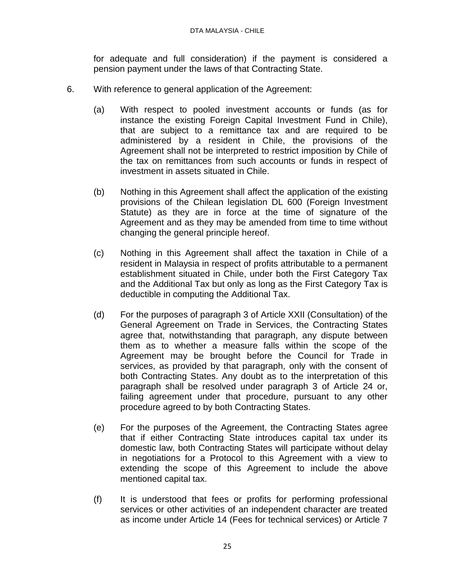for adequate and full consideration) if the payment is considered a pension payment under the laws of that Contracting State.

- 6. With reference to general application of the Agreement:
	- (a) With respect to pooled investment accounts or funds (as for instance the existing Foreign Capital Investment Fund in Chile), that are subject to a remittance tax and are required to be administered by a resident in Chile, the provisions of the Agreement shall not be interpreted to restrict imposition by Chile of the tax on remittances from such accounts or funds in respect of investment in assets situated in Chile.
	- (b) Nothing in this Agreement shall affect the application of the existing provisions of the Chilean legislation DL 600 (Foreign Investment Statute) as they are in force at the time of signature of the Agreement and as they may be amended from time to time without changing the general principle hereof.
	- (c) Nothing in this Agreement shall affect the taxation in Chile of a resident in Malaysia in respect of profits attributable to a permanent establishment situated in Chile, under both the First Category Tax and the Additional Tax but only as long as the First Category Tax is deductible in computing the Additional Tax.
	- (d) For the purposes of paragraph 3 of Article XXII (Consultation) of the General Agreement on Trade in Services, the Contracting States agree that, notwithstanding that paragraph, any dispute between them as to whether a measure falls within the scope of the Agreement may be brought before the Council for Trade in services, as provided by that paragraph, only with the consent of both Contracting States. Any doubt as to the interpretation of this paragraph shall be resolved under paragraph 3 of Article 24 or, failing agreement under that procedure, pursuant to any other procedure agreed to by both Contracting States.
	- (e) For the purposes of the Agreement, the Contracting States agree that if either Contracting State introduces capital tax under its domestic law, both Contracting States will participate without delay in negotiations for a Protocol to this Agreement with a view to extending the scope of this Agreement to include the above mentioned capital tax.
	- (f) It is understood that fees or profits for performing professional services or other activities of an independent character are treated as income under Article 14 (Fees for technical services) or Article 7